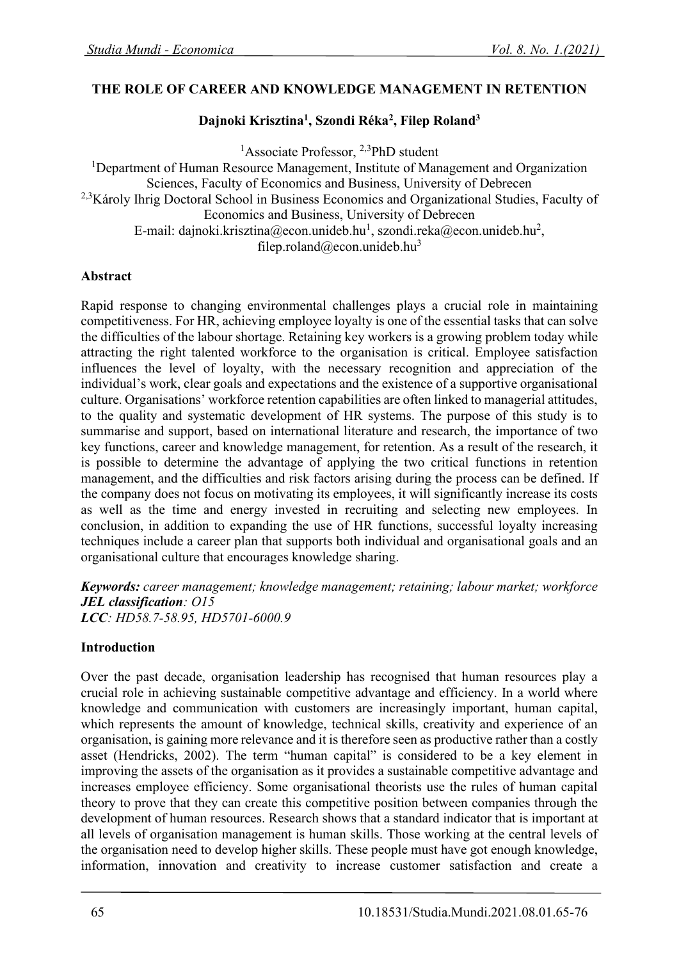#### **THE ROLE OF CAREER AND KNOWLEDGE MANAGEMENT IN RETENTION**

### **Dajnoki Krisztina<sup>1</sup> , Szondi Réka<sup>2</sup> , Filep Roland<sup>3</sup>**

<sup>1</sup>Associate Professor, <sup>2,3</sup>PhD student

<sup>1</sup>Department of Human Resource Management, Institute of Management and Organization Sciences, Faculty of Economics and Business, University of Debrecen <sup>2,3</sup>Károly Ihrig Doctoral School in Business Economics and Organizational Studies, Faculty of Economics and Business, University of Debrecen E-mail: dajnoki.krisztina@econ.unideb.hu<sup>1</sup>, szondi.reka@econ.unideb.hu<sup>2</sup>, filep.roland@econ.unideb.hu<sup>3</sup>

#### **Abstract**

Rapid response to changing environmental challenges plays a crucial role in maintaining competitiveness. For HR, achieving employee loyalty is one of the essential tasks that can solve the difficulties of the labour shortage. Retaining key workers is a growing problem today while attracting the right talented workforce to the organisation is critical. Employee satisfaction influences the level of loyalty, with the necessary recognition and appreciation of the individual's work, clear goals and expectations and the existence of a supportive organisational culture. Organisations' workforce retention capabilities are often linked to managerial attitudes, to the quality and systematic development of HR systems. The purpose of this study is to summarise and support, based on international literature and research, the importance of two key functions, career and knowledge management, for retention. As a result of the research, it is possible to determine the advantage of applying the two critical functions in retention management, and the difficulties and risk factors arising during the process can be defined. If the company does not focus on motivating its employees, it will significantly increase its costs as well as the time and energy invested in recruiting and selecting new employees. In conclusion, in addition to expanding the use of HR functions, successful loyalty increasing techniques include a career plan that supports both individual and organisational goals and an organisational culture that encourages knowledge sharing.

*Keywords: career management; knowledge management; retaining; labour market; workforce JEL classification: O15 LCC: HD58.7-58.95, HD5701-6000.9*

#### **Introduction**

Over the past decade, organisation leadership has recognised that human resources play a crucial role in achieving sustainable competitive advantage and efficiency. In a world where knowledge and communication with customers are increasingly important, human capital, which represents the amount of knowledge, technical skills, creativity and experience of an organisation, is gaining more relevance and it is therefore seen as productive rather than a costly asset (Hendricks, 2002). The term "human capital" is considered to be a key element in improving the assets of the organisation as it provides a sustainable competitive advantage and increases employee efficiency. Some organisational theorists use the rules of human capital theory to prove that they can create this competitive position between companies through the development of human resources. Research shows that a standard indicator that is important at all levels of organisation management is human skills. Those working at the central levels of the organisation need to develop higher skills. These people must have got enough knowledge, information, innovation and creativity to increase customer satisfaction and create a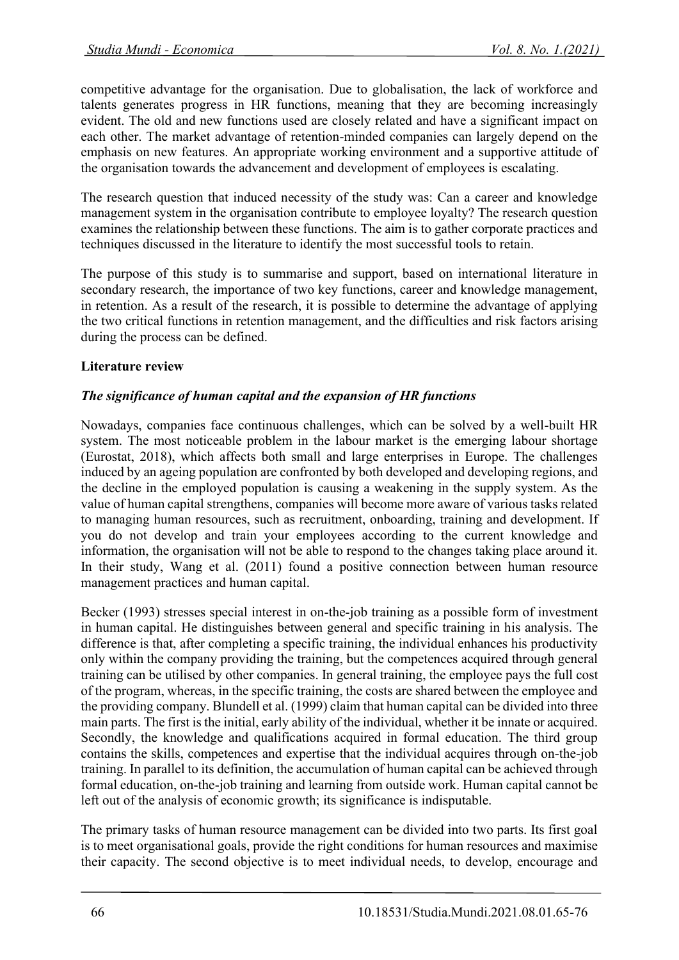competitive advantage for the organisation. Due to globalisation, the lack of workforce and talents generates progress in HR functions, meaning that they are becoming increasingly evident. The old and new functions used are closely related and have a significant impact on each other. The market advantage of retention-minded companies can largely depend on the emphasis on new features. An appropriate working environment and a supportive attitude of the organisation towards the advancement and development of employees is escalating.

The research question that induced necessity of the study was: Can a career and knowledge management system in the organisation contribute to employee loyalty? The research question examines the relationship between these functions. The aim is to gather corporate practices and techniques discussed in the literature to identify the most successful tools to retain.

The purpose of this study is to summarise and support, based on international literature in secondary research, the importance of two key functions, career and knowledge management, in retention. As a result of the research, it is possible to determine the advantage of applying the two critical functions in retention management, and the difficulties and risk factors arising during the process can be defined.

## **Literature review**

## *The significance of human capital and the expansion of HR functions*

Nowadays, companies face continuous challenges, which can be solved by a well-built HR system. The most noticeable problem in the labour market is the emerging labour shortage (Eurostat, 2018), which affects both small and large enterprises in Europe. The challenges induced by an ageing population are confronted by both developed and developing regions, and the decline in the employed population is causing a weakening in the supply system. As the value of human capital strengthens, companies will become more aware of various tasks related to managing human resources, such as recruitment, onboarding, training and development. If you do not develop and train your employees according to the current knowledge and information, the organisation will not be able to respond to the changes taking place around it. In their study, Wang et al. (2011) found a positive connection between human resource management practices and human capital.

Becker (1993) stresses special interest in on-the-job training as a possible form of investment in human capital. He distinguishes between general and specific training in his analysis. The difference is that, after completing a specific training, the individual enhances his productivity only within the company providing the training, but the competences acquired through general training can be utilised by other companies. In general training, the employee pays the full cost of the program, whereas, in the specific training, the costs are shared between the employee and the providing company. Blundell et al. (1999) claim that human capital can be divided into three main parts. The first is the initial, early ability of the individual, whether it be innate or acquired. Secondly, the knowledge and qualifications acquired in formal education. The third group contains the skills, competences and expertise that the individual acquires through on-the-job training. In parallel to its definition, the accumulation of human capital can be achieved through formal education, on-the-job training and learning from outside work. Human capital cannot be left out of the analysis of economic growth; its significance is indisputable.

The primary tasks of human resource management can be divided into two parts. Its first goal is to meet organisational goals, provide the right conditions for human resources and maximise their capacity. The second objective is to meet individual needs, to develop, encourage and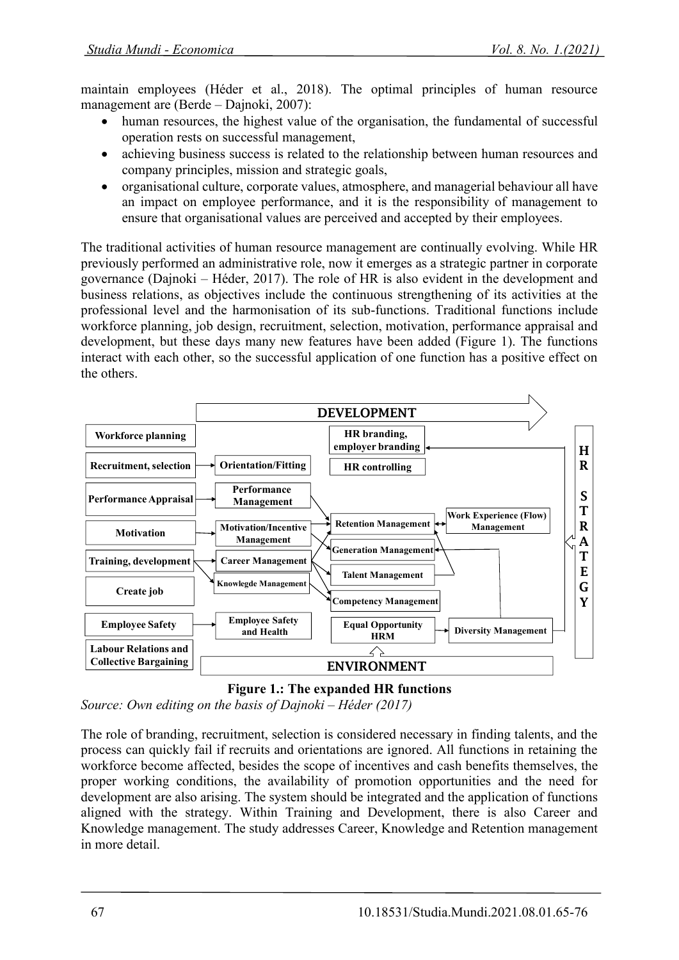maintain employees (Héder et al., 2018). The optimal principles of human resource management are (Berde – Dajnoki, 2007):

- human resources, the highest value of the organisation, the fundamental of successful operation rests on successful management,
- achieving business success is related to the relationship between human resources and company principles, mission and strategic goals,
- organisational culture, corporate values, atmosphere, and managerial behaviour all have an impact on employee performance, and it is the responsibility of management to ensure that organisational values are perceived and accepted by their employees.

The traditional activities of human resource management are continually evolving. While HR previously performed an administrative role, now it emerges as a strategic partner in corporate governance (Dajnoki – Héder, 2017). The role of HR is also evident in the development and business relations, as objectives include the continuous strengthening of its activities at the professional level and the harmonisation of its sub-functions. Traditional functions include workforce planning, job design, recruitment, selection, motivation, performance appraisal and development, but these days many new features have been added (Figure 1). The functions interact with each other, so the successful application of one function has a positive effect on the others.





*Source: Own editing on the basis of Dajnoki – Héder (2017)* 

The role of branding, recruitment, selection is considered necessary in finding talents, and the process can quickly fail if recruits and orientations are ignored. All functions in retaining the workforce become affected, besides the scope of incentives and cash benefits themselves, the proper working conditions, the availability of promotion opportunities and the need for development are also arising. The system should be integrated and the application of functions aligned with the strategy. Within Training and Development, there is also Career and Knowledge management. The study addresses Career, Knowledge and Retention management in more detail.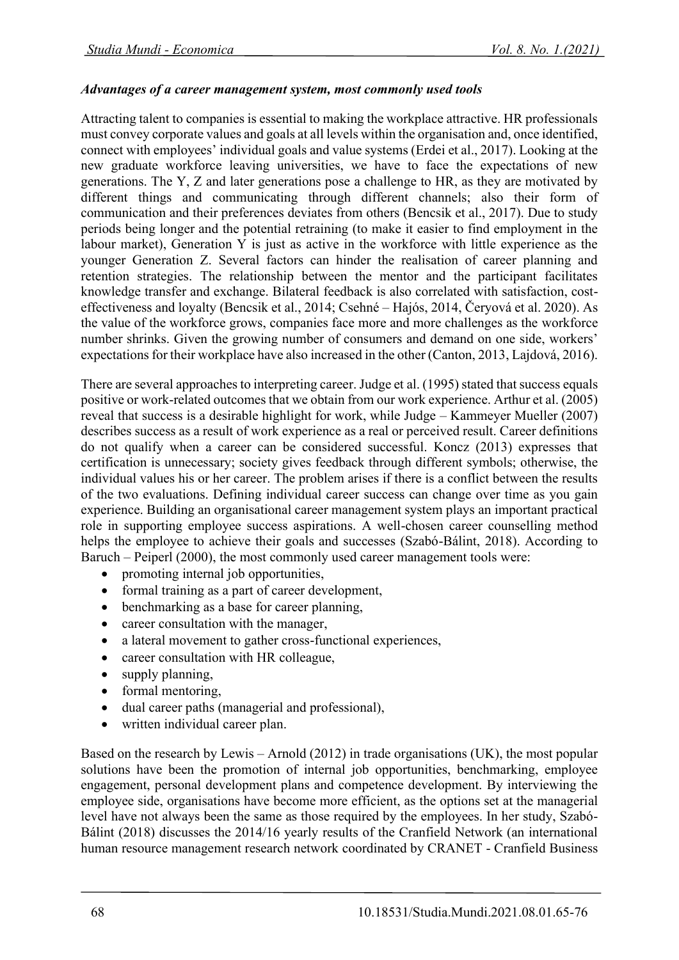#### *Advantages of a career management system, most commonly used tools*

Attracting talent to companies is essential to making the workplace attractive. HR professionals must convey corporate values and goals at all levels within the organisation and, once identified, connect with employees' individual goals and value systems (Erdei et al., 2017). Looking at the new graduate workforce leaving universities, we have to face the expectations of new generations. The Y, Z and later generations pose a challenge to HR, as they are motivated by different things and communicating through different channels; also their form of communication and their preferences deviates from others (Bencsik et al., 2017). Due to study periods being longer and the potential retraining (to make it easier to find employment in the labour market), Generation  $\overline{Y}$  is just as active in the workforce with little experience as the younger Generation Z. Several factors can hinder the realisation of career planning and retention strategies. The relationship between the mentor and the participant facilitates knowledge transfer and exchange. Bilateral feedback is also correlated with satisfaction, costeffectiveness and loyalty (Bencsik et al., 2014; Csehné – Hajós, 2014, Čeryová et al. 2020). As the value of the workforce grows, companies face more and more challenges as the workforce number shrinks. Given the growing number of consumers and demand on one side, workers' expectations for their workplace have also increased in the other (Canton, 2013, Lajdová, 2016).

There are several approaches to interpreting career. Judge et al. (1995) stated that success equals positive or work-related outcomes that we obtain from our work experience. Arthur et al. (2005) reveal that success is a desirable highlight for work, while Judge – Kammeyer Mueller (2007) describes success as a result of work experience as a real or perceived result. Career definitions do not qualify when a career can be considered successful. Koncz (2013) expresses that certification is unnecessary; society gives feedback through different symbols; otherwise, the individual values his or her career. The problem arises if there is a conflict between the results of the two evaluations. Defining individual career success can change over time as you gain experience. Building an organisational career management system plays an important practical role in supporting employee success aspirations. A well-chosen career counselling method helps the employee to achieve their goals and successes (Szabó-Bálint, 2018). According to Baruch – Peiperl (2000), the most commonly used career management tools were:

- promoting internal job opportunities,
- formal training as a part of career development,
- benchmarking as a base for career planning,
- career consultation with the manager,
- a lateral movement to gather cross-functional experiences,
- career consultation with HR colleague,
- supply planning,
- formal mentoring,
- dual career paths (managerial and professional),
- written individual career plan.

Based on the research by Lewis – Arnold (2012) in trade organisations (UK), the most popular solutions have been the promotion of internal job opportunities, benchmarking, employee engagement, personal development plans and competence development. By interviewing the employee side, organisations have become more efficient, as the options set at the managerial level have not always been the same as those required by the employees. In her study, Szabó-Bálint (2018) discusses the 2014/16 yearly results of the Cranfield Network (an international human resource management research network coordinated by CRANET - Cranfield Business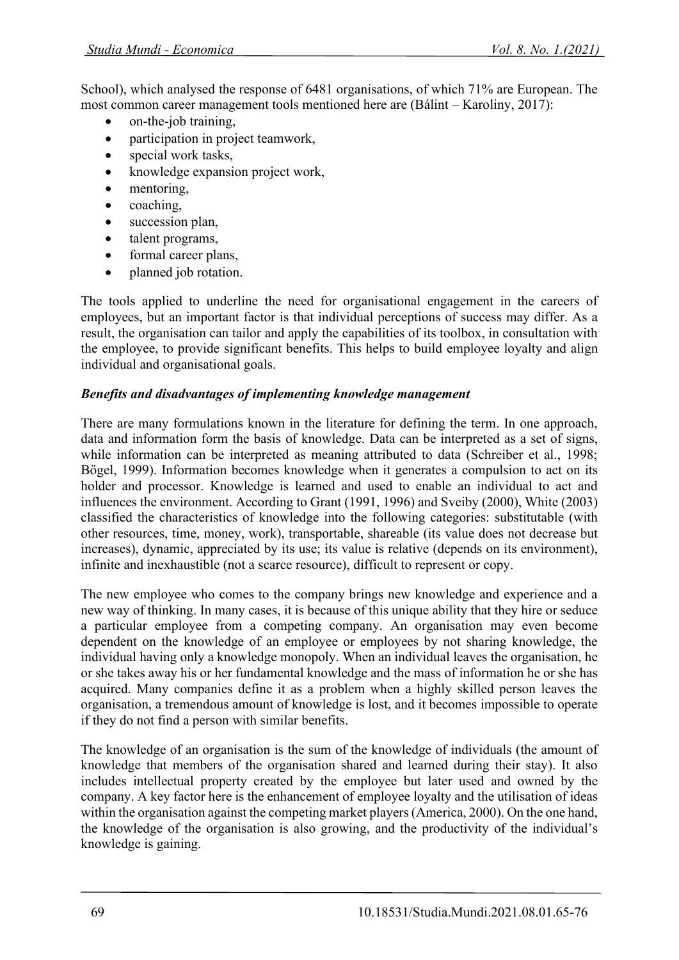School), which analysed the response of 6481 organisations, of which 71% are European. The most common career management tools mentioned here are (Bálint – Karoliny, 2017):

- on-the-job training,
- participation in project teamwork,
- special work tasks,
- knowledge expansion project work,
- mentoring,
- coaching,
- succession plan,
- talent programs,
- formal career plans,
- planned job rotation.

The tools applied to underline the need for organisational engagement in the careers of employees, but an important factor is that individual perceptions of success may differ. As a result, the organisation can tailor and apply the capabilities of its toolbox, in consultation with the employee, to provide significant benefits. This helps to build employee loyalty and align individual and organisational goals.

# *Benefits and disadvantages of implementing knowledge management*

There are many formulations known in the literature for defining the term. In one approach, data and information form the basis of knowledge. Data can be interpreted as a set of signs, while information can be interpreted as meaning attributed to data (Schreiber et al., 1998; Bőgel, 1999). Information becomes knowledge when it generates a compulsion to act on its holder and processor. Knowledge is learned and used to enable an individual to act and influences the environment. According to Grant (1991, 1996) and Sveiby (2000), White (2003) classified the characteristics of knowledge into the following categories: substitutable (with other resources, time, money, work), transportable, shareable (its value does not decrease but increases), dynamic, appreciated by its use; its value is relative (depends on its environment), infinite and inexhaustible (not a scarce resource), difficult to represent or copy.

The new employee who comes to the company brings new knowledge and experience and a new way of thinking. In many cases, it is because of this unique ability that they hire or seduce a particular employee from a competing company. An organisation may even become dependent on the knowledge of an employee or employees by not sharing knowledge, the individual having only a knowledge monopoly. When an individual leaves the organisation, he or she takes away his or her fundamental knowledge and the mass of information he or she has acquired. Many companies define it as a problem when a highly skilled person leaves the organisation, a tremendous amount of knowledge is lost, and it becomes impossible to operate if they do not find a person with similar benefits.

The knowledge of an organisation is the sum of the knowledge of individuals (the amount of knowledge that members of the organisation shared and learned during their stay). It also includes intellectual property created by the employee but later used and owned by the company. A key factor here is the enhancement of employee loyalty and the utilisation of ideas within the organisation against the competing market players (America, 2000). On the one hand, the knowledge of the organisation is also growing, and the productivity of the individual's knowledge is gaining.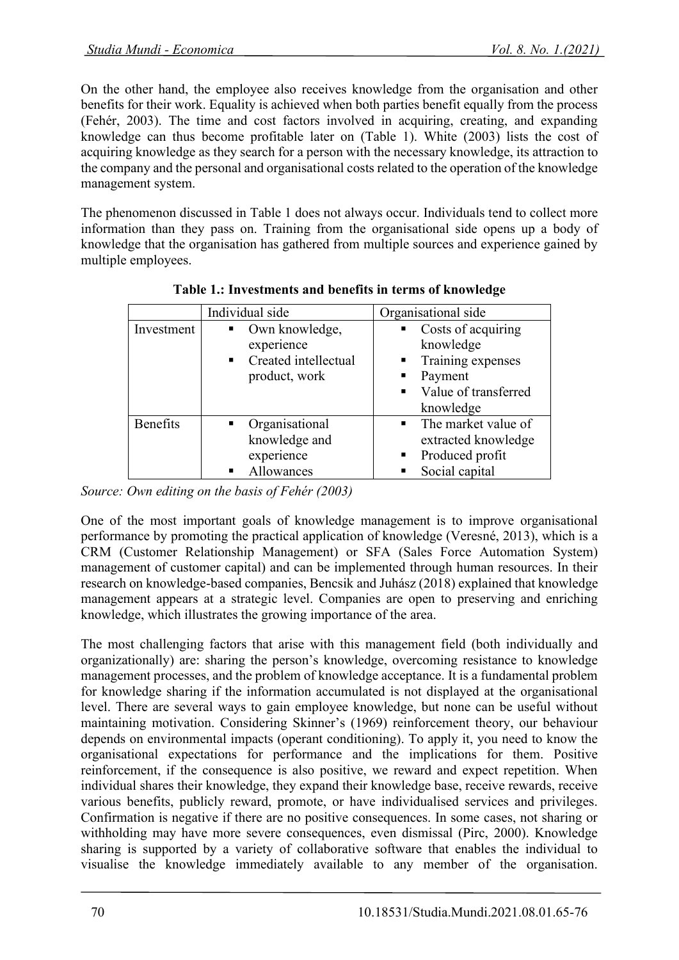On the other hand, the employee also receives knowledge from the organisation and other benefits for their work. Equality is achieved when both parties benefit equally from the process (Fehér, 2003). The time and cost factors involved in acquiring, creating, and expanding knowledge can thus become profitable later on (Table 1). White (2003) lists the cost of acquiring knowledge as they search for a person with the necessary knowledge, its attraction to the company and the personal and organisational costs related to the operation of the knowledge management system.

The phenomenon discussed in Table 1 does not always occur. Individuals tend to collect more information than they pass on. Training from the organisational side opens up a body of knowledge that the organisation has gathered from multiple sources and experience gained by multiple employees.

|                 | Individual side                                                                                           | Organisational side                                                                                                                     |
|-----------------|-----------------------------------------------------------------------------------------------------------|-----------------------------------------------------------------------------------------------------------------------------------------|
| Investment      | Own knowledge,<br>$\blacksquare$<br>experience<br>Created intellectual<br>$\blacksquare$<br>product, work | $\blacksquare$ Costs of acquiring<br>knowledge<br>• Training expenses<br>Payment<br>Value of transferred<br>$\blacksquare$<br>knowledge |
| <b>Benefits</b> | Organisational<br>п.<br>knowledge and<br>experience<br>Allowances                                         | $\blacksquare$ The market value of<br>extracted knowledge<br>Produced profit<br>Social capital                                          |

**Table 1.: Investments and benefits in terms of knowledge**

*Source: Own editing on the basis of Fehér (2003)*

One of the most important goals of knowledge management is to improve organisational performance by promoting the practical application of knowledge (Veresné, 2013), which is a CRM (Customer Relationship Management) or SFA (Sales Force Automation System) management of customer capital) and can be implemented through human resources. In their research on knowledge-based companies, Bencsik and Juhász (2018) explained that knowledge management appears at a strategic level. Companies are open to preserving and enriching knowledge, which illustrates the growing importance of the area.

The most challenging factors that arise with this management field (both individually and organizationally) are: sharing the person's knowledge, overcoming resistance to knowledge management processes, and the problem of knowledge acceptance. It is a fundamental problem for knowledge sharing if the information accumulated is not displayed at the organisational level. There are several ways to gain employee knowledge, but none can be useful without maintaining motivation. Considering Skinner's (1969) reinforcement theory, our behaviour depends on environmental impacts (operant conditioning). To apply it, you need to know the organisational expectations for performance and the implications for them. Positive reinforcement, if the consequence is also positive, we reward and expect repetition. When individual shares their knowledge, they expand their knowledge base, receive rewards, receive various benefits, publicly reward, promote, or have individualised services and privileges. Confirmation is negative if there are no positive consequences. In some cases, not sharing or withholding may have more severe consequences, even dismissal (Pirc, 2000). Knowledge sharing is supported by a variety of collaborative software that enables the individual to visualise the knowledge immediately available to any member of the organisation.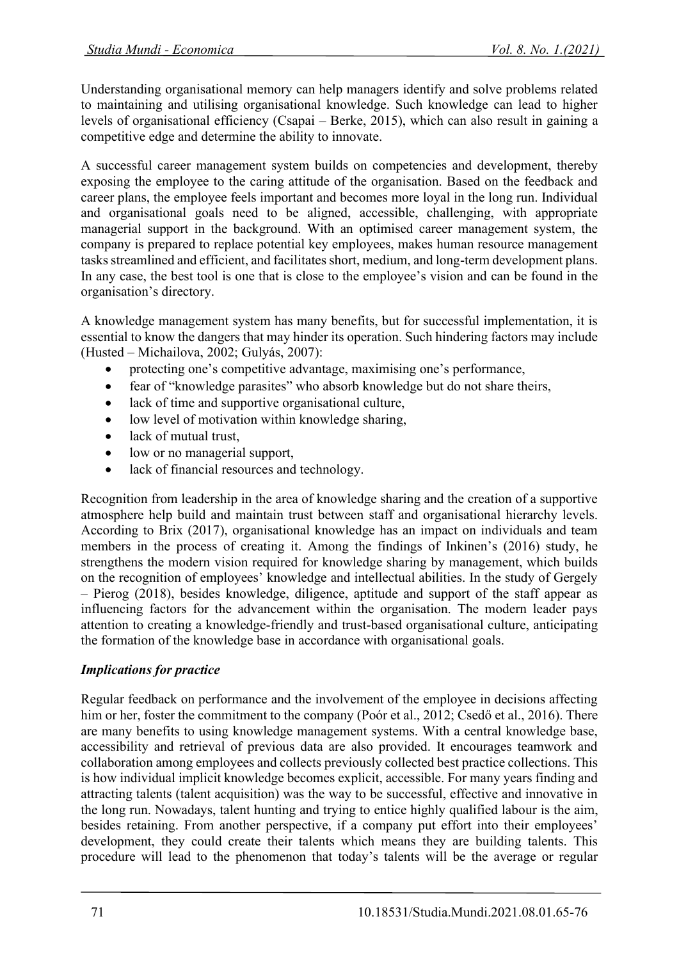Understanding organisational memory can help managers identify and solve problems related to maintaining and utilising organisational knowledge. Such knowledge can lead to higher levels of organisational efficiency (Csapai – Berke, 2015), which can also result in gaining a competitive edge and determine the ability to innovate.

A successful career management system builds on competencies and development, thereby exposing the employee to the caring attitude of the organisation. Based on the feedback and career plans, the employee feels important and becomes more loyal in the long run. Individual and organisational goals need to be aligned, accessible, challenging, with appropriate managerial support in the background. With an optimised career management system, the company is prepared to replace potential key employees, makes human resource management tasks streamlined and efficient, and facilitates short, medium, and long-term development plans. In any case, the best tool is one that is close to the employee's vision and can be found in the organisation's directory.

A knowledge management system has many benefits, but for successful implementation, it is essential to know the dangers that may hinder its operation. Such hindering factors may include (Husted – Michailova, 2002; Gulyás, 2007):

- protecting one's competitive advantage, maximising one's performance,
- fear of "knowledge parasites" who absorb knowledge but do not share theirs,
- lack of time and supportive organisational culture,
- low level of motivation within knowledge sharing,
- lack of mutual trust.
- low or no managerial support,
- lack of financial resources and technology.

Recognition from leadership in the area of knowledge sharing and the creation of a supportive atmosphere help build and maintain trust between staff and organisational hierarchy levels. According to Brix (2017), organisational knowledge has an impact on individuals and team members in the process of creating it. Among the findings of Inkinen's (2016) study, he strengthens the modern vision required for knowledge sharing by management, which builds on the recognition of employees' knowledge and intellectual abilities. In the study of Gergely – Pierog (2018), besides knowledge, diligence, aptitude and support of the staff appear as influencing factors for the advancement within the organisation. The modern leader pays attention to creating a knowledge-friendly and trust-based organisational culture, anticipating the formation of the knowledge base in accordance with organisational goals.

# *Implications for practice*

Regular feedback on performance and the involvement of the employee in decisions affecting him or her, foster the commitment to the company (Poór et al., 2012; Csedő et al., 2016). There are many benefits to using knowledge management systems. With a central knowledge base, accessibility and retrieval of previous data are also provided. It encourages teamwork and collaboration among employees and collects previously collected best practice collections. This is how individual implicit knowledge becomes explicit, accessible. For many years finding and attracting talents (talent acquisition) was the way to be successful, effective and innovative in the long run. Nowadays, talent hunting and trying to entice highly qualified labour is the aim, besides retaining. From another perspective, if a company put effort into their employees' development, they could create their talents which means they are building talents. This procedure will lead to the phenomenon that today's talents will be the average or regular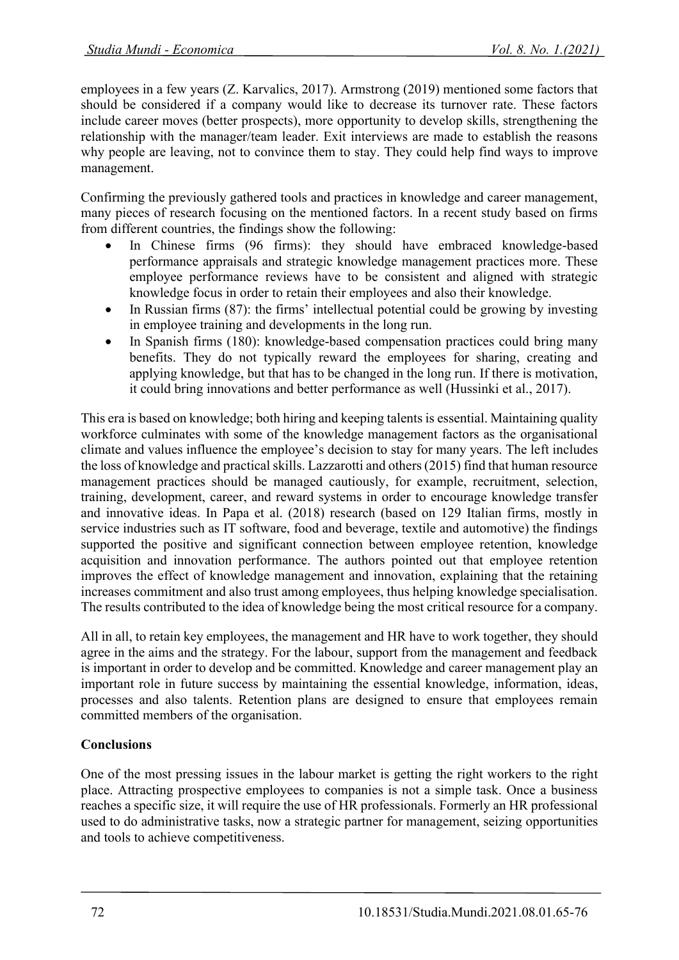employees in a few years (Z. Karvalics, 2017). Armstrong (2019) mentioned some factors that should be considered if a company would like to decrease its turnover rate. These factors include career moves (better prospects), more opportunity to develop skills, strengthening the relationship with the manager/team leader. Exit interviews are made to establish the reasons why people are leaving, not to convince them to stay. They could help find ways to improve management.

Confirming the previously gathered tools and practices in knowledge and career management, many pieces of research focusing on the mentioned factors. In a recent study based on firms from different countries, the findings show the following:

- In Chinese firms (96 firms): they should have embraced knowledge-based performance appraisals and strategic knowledge management practices more. These employee performance reviews have to be consistent and aligned with strategic knowledge focus in order to retain their employees and also their knowledge.
- In Russian firms (87): the firms' intellectual potential could be growing by investing in employee training and developments in the long run.
- In Spanish firms (180): knowledge-based compensation practices could bring many benefits. They do not typically reward the employees for sharing, creating and applying knowledge, but that has to be changed in the long run. If there is motivation, it could bring innovations and better performance as well (Hussinki et al., 2017).

This era is based on knowledge; both hiring and keeping talents is essential. Maintaining quality workforce culminates with some of the knowledge management factors as the organisational climate and values influence the employee's decision to stay for many years. The left includes the loss of knowledge and practical skills. Lazzarotti and others (2015) find that human resource management practices should be managed cautiously, for example, recruitment, selection, training, development, career, and reward systems in order to encourage knowledge transfer and innovative ideas. In Papa et al. (2018) research (based on 129 Italian firms, mostly in service industries such as IT software, food and beverage, textile and automotive) the findings supported the positive and significant connection between employee retention, knowledge acquisition and innovation performance. The authors pointed out that employee retention improves the effect of knowledge management and innovation, explaining that the retaining increases commitment and also trust among employees, thus helping knowledge specialisation. The results contributed to the idea of knowledge being the most critical resource for a company.

All in all, to retain key employees, the management and HR have to work together, they should agree in the aims and the strategy. For the labour, support from the management and feedback is important in order to develop and be committed. Knowledge and career management play an important role in future success by maintaining the essential knowledge, information, ideas, processes and also talents. Retention plans are designed to ensure that employees remain committed members of the organisation.

# **Conclusions**

One of the most pressing issues in the labour market is getting the right workers to the right place. Attracting prospective employees to companies is not a simple task. Once a business reaches a specific size, it will require the use of HR professionals. Formerly an HR professional used to do administrative tasks, now a strategic partner for management, seizing opportunities and tools to achieve competitiveness.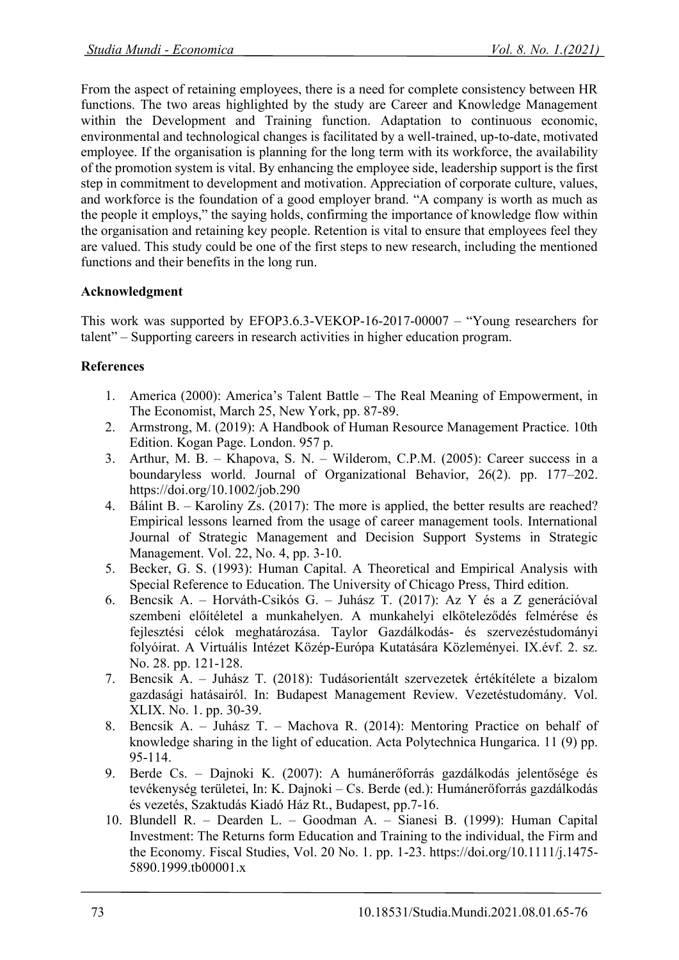From the aspect of retaining employees, there is a need for complete consistency between HR functions. The two areas highlighted by the study are Career and Knowledge Management within the Development and Training function. Adaptation to continuous economic, environmental and technological changes is facilitated by a well-trained, up-to-date, motivated employee. If the organisation is planning for the long term with its workforce, the availability of the promotion system is vital. By enhancing the employee side, leadership support is the first step in commitment to development and motivation. Appreciation of corporate culture, values, and workforce is the foundation of a good employer brand. "A company is worth as much as the people it employs," the saying holds, confirming the importance of knowledge flow within the organisation and retaining key people. Retention is vital to ensure that employees feel they are valued. This study could be one of the first steps to new research, including the mentioned functions and their benefits in the long run.

# **Acknowledgment**

This work was supported by EFOP3.6.3-VEKOP-16-2017-00007 – "Young researchers for talent" – Supporting careers in research activities in higher education program.

# **References**

- 1. America (2000): America's Talent Battle The Real Meaning of Empowerment, in The Economist, March 25, New York, pp. 87-89.
- 2. Armstrong, M. (2019): A Handbook of Human Resource Management Practice. 10th Edition. Kogan Page. London. 957 p.
- 3. Arthur, M. B. Khapova, S. N. Wilderom, C.P.M. (2005): Career success in a boundaryless world. Journal of Organizational Behavior, 26(2). pp. 177–202. https://doi.org/10.1002/job.290
- 4. Bálint B. Karoliny Zs. (2017): The more is applied, the better results are reached? Empirical lessons learned from the usage of career management tools. International Journal of Strategic Management and Decision Support Systems in Strategic Management. Vol. 22, No. 4, pp. 3-10.
- 5. Becker, G. S. (1993): Human Capital. A Theoretical and Empirical Analysis with Special Reference to Education. The University of Chicago Press, Third edition.
- 6. Bencsik A. Horváth-Csikós G. Juhász T. (2017): Az Y és a Z generációval szembeni előítéletel a munkahelyen. A munkahelyi elköteleződés felmérése és fejlesztési célok meghatározása. Taylor Gazdálkodás- és szervezéstudományi folyóirat. A Virtuális Intézet Közép-Európa Kutatására Közleményei. IX.évf. 2. sz. No. 28. pp. 121-128.
- 7. Bencsik A. Juhász T. (2018): Tudásorientált szervezetek értékítélete a bizalom gazdasági hatásairól. In: Budapest Management Review. Vezetéstudomány. Vol. XLIX. No. 1. pp. 30-39.
- 8. Bencsik A. Juhász T. Machova R. (2014): Mentoring Practice on behalf of knowledge sharing in the light of education. Acta Polytechnica Hungarica. 11 (9) pp. 95-114.
- 9. Berde Cs. Dajnoki K. (2007): A humánerőforrás gazdálkodás jelentősége és tevékenység területei, In: K. Dajnoki – Cs. Berde (ed.): Humánerőforrás gazdálkodás és vezetés, Szaktudás Kiadó Ház Rt., Budapest, pp.7-16.
- 10. Blundell R. Dearden L. Goodman A. Sianesi B. (1999): Human Capital Investment: The Returns form Education and Training to the individual, the Firm and the Economy. Fiscal Studies, Vol. 20 No. 1. pp. 1-23. https://doi.org/10.1111/j.1475- 5890.1999.tb00001.x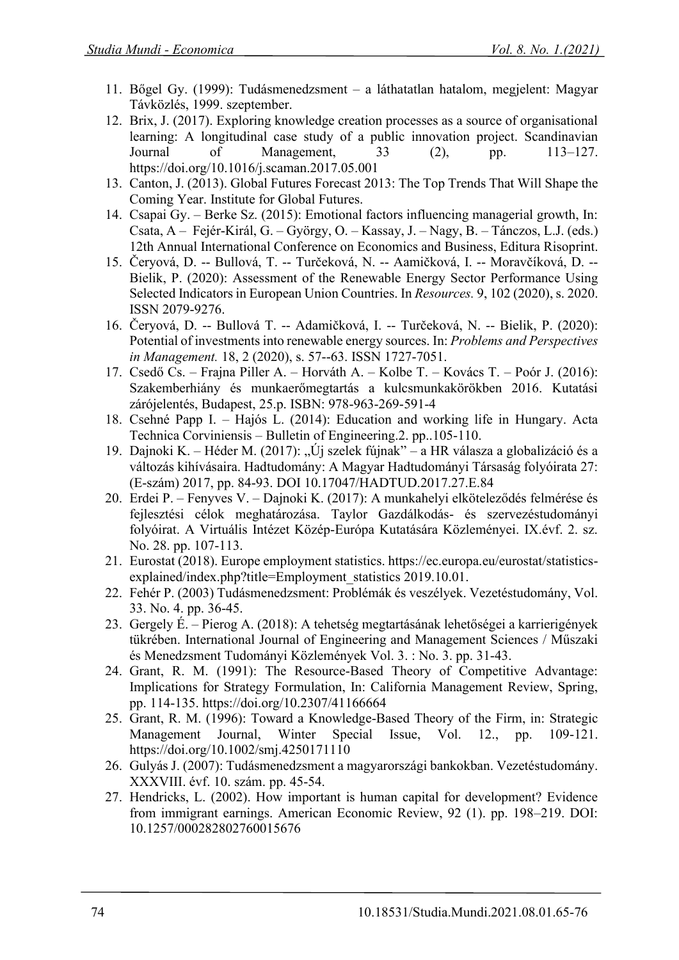- 11. Bőgel Gy. (1999): Tudásmenedzsment a láthatatlan hatalom, megjelent: Magyar Távközlés, 1999. szeptember.
- 12. Brix, J. (2017). Exploring knowledge creation processes as a source of organisational learning: A longitudinal case study of a public innovation project. Scandinavian Journal of Management, 33 (2), pp. 113–127. https://doi.org/10.1016/j.scaman.2017.05.001
- 13. Canton, J. (2013). Global Futures Forecast 2013: The Top Trends That Will Shape the Coming Year. Institute for Global Futures.
- 14. Csapai Gy. Berke Sz. (2015): Emotional factors influencing managerial growth, In: Csata, A – Fejér-Királ, G. – György, O. – Kassay, J. – Nagy, B. – Tánczos, L.J. (eds.) 12th Annual International Conference on Economics and Business, Editura Risoprint.
- 15. Čeryová, D. -- Bullová, T. -- Turčeková, N. -- Aamičková, I. -- Moravčíková, D. -- Bielik, P. (2020): Assessment of the Renewable Energy Sector Performance Using Selected Indicators in European Union Countries. In *Resources.* 9, 102 (2020), s. 2020. ISSN 2079-9276.
- 16. Čeryová, D. -- Bullová T. -- Adamičková, I. -- Turčeková, N. -- Bielik, P. (2020): Potential of investments into renewable energy sources. In: *Problems and Perspectives in Management.* 18, 2 (2020), s. 57--63. ISSN 1727-7051.
- 17. Csedő Cs. Frajna Piller A. Horváth A. Kolbe T. Kovács T. Poór J. (2016): Szakemberhiány és munkaerőmegtartás a kulcsmunkakörökben 2016. Kutatási zárójelentés, Budapest, 25.p. ISBN: 978-963-269-591-4
- 18. Csehné Papp I. Hajós L. (2014): Education and working life in Hungary. Acta Technica Corviniensis – Bulletin of Engineering.2. pp..105-110.
- 19. Dajnoki K. Héder M. (2017): "Új szelek fújnak" a HR válasza a globalizáció és a változás kihívásaira. Hadtudomány: A Magyar Hadtudományi Társaság folyóirata 27: (E-szám) 2017, pp. 84-93. DOI 10.17047/HADTUD.2017.27.E.84
- 20. Erdei P. Fenyves V. Dajnoki K. (2017): A munkahelyi elköteleződés felmérése és fejlesztési célok meghatározása. Taylor Gazdálkodás- és szervezéstudományi folyóirat. A Virtuális Intézet Közép-Európa Kutatására Közleményei. IX.évf. 2. sz. No. 28. pp. 107-113.
- 21. Eurostat (2018). Europe employment statistics. https://ec.europa.eu/eurostat/statisticsexplained/index.php?title=Employment\_statistics 2019.10.01.
- 22. Fehér P. (2003) Tudásmenedzsment: Problémák és veszélyek. Vezetéstudomány, Vol. 33. No. 4. pp. 36-45.
- 23. Gergely É. Pierog A. (2018): A tehetség megtartásának lehetőségei a karrierigények tükrében. International Journal of Engineering and Management Sciences / Műszaki és Menedzsment Tudományi Közlemények Vol. 3. : No. 3. pp. 31-43.
- 24. Grant, R. M. (1991): The Resource-Based Theory of Competitive Advantage: Implications for Strategy Formulation, In: California Management Review, Spring, pp. 114-135. https://doi.org/10.2307/41166664
- 25. Grant, R. M. (1996): Toward a Knowledge-Based Theory of the Firm, in: Strategic Management Journal, Winter Special Issue, Vol. 12., pp. 109-121. https://doi.org/10.1002/smj.4250171110
- 26. Gulyás J. (2007): Tudásmenedzsment a magyarországi bankokban. Vezetéstudomány. XXXVIII. évf. 10. szám. pp. 45-54.
- 27. Hendricks, L. (2002). How important is human capital for development? Evidence from immigrant earnings. American Economic Review, 92 (1). pp. 198–219. DOI: 10.1257/000282802760015676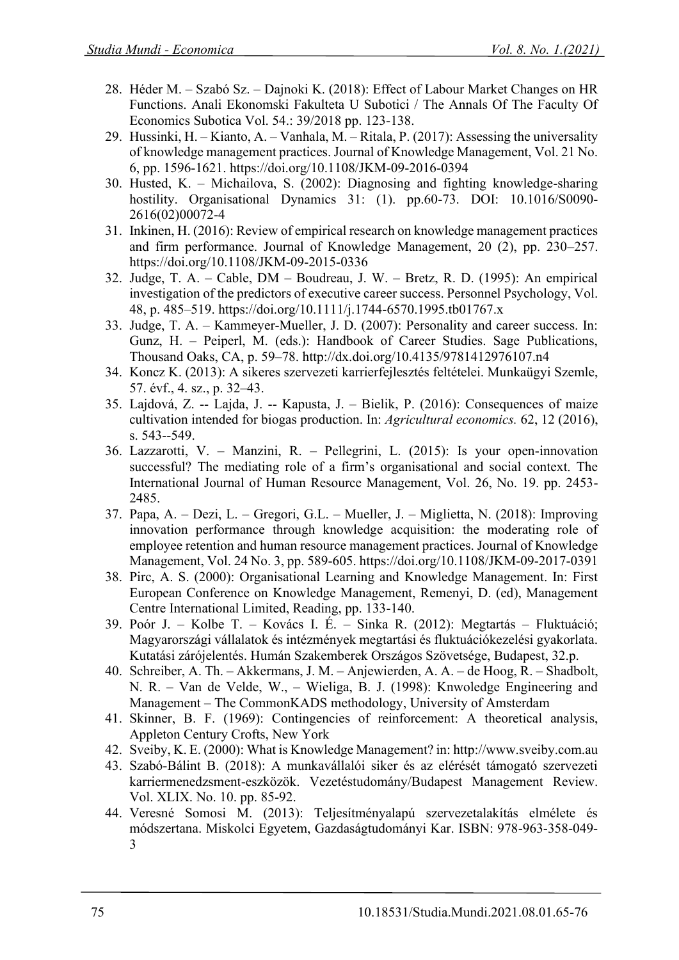- 28. Héder M. Szabó Sz. Dajnoki K. (2018): Effect of Labour Market Changes on HR Functions. Anali Ekonomski Fakulteta U Subotici / The Annals Of The Faculty Of Economics Subotica Vol. 54.: 39/2018 pp. 123-138.
- 29. Hussinki, H. Kianto, A. Vanhala, M. Ritala, P. (2017): Assessing the universality of knowledge management practices. Journal of Knowledge Management, Vol. 21 No. 6, pp. 1596-1621. https://doi.org/10.1108/JKM-09-2016-0394
- 30. Husted, K. Michailova, S. (2002): Diagnosing and fighting knowledge-sharing hostility. Organisational Dynamics 31: (1). pp.60-73. DOI: 10.1016/S0090- 2616(02)00072-4
- 31. Inkinen, H. (2016): Review of empirical research on knowledge management practices and firm performance. Journal of Knowledge Management, 20 (2), pp. 230–257. https://doi.org/10.1108/JKM-09-2015-0336
- 32. Judge, T. A. Cable, DM Boudreau, J. W. Bretz, R. D. (1995): An empirical investigation of the predictors of executive career success. Personnel Psychology, Vol. 48, p. 485–519. https://doi.org/10.1111/j.1744-6570.1995.tb01767.x
- 33. Judge, T. A. Kammeyer-Mueller, J. D. (2007): Personality and career success. In: Gunz, H. – Peiperl, M. (eds.): Handbook of Career Studies. Sage Publications, Thousand Oaks, CA, p. 59–78. http://dx.doi.org/10.4135/9781412976107.n4
- 34. Koncz K. (2013): A sikeres szervezeti karrierfejlesztés feltételei. Munkaügyi Szemle, 57. évf., 4. sz., p. 32–43.
- 35. Lajdová, Z. -- Lajda, J. -- Kapusta, J. Bielik, P. (2016): Consequences of maize cultivation intended for biogas production. In: *Agricultural economics.* 62, 12 (2016), s. 543--549.
- 36. Lazzarotti, V. Manzini, R. Pellegrini, L. (2015): Is your open-innovation successful? The mediating role of a firm's organisational and social context. The International Journal of Human Resource Management, Vol. 26, No. 19. pp. 2453- 2485.
- 37. Papa, A. Dezi, L. Gregori, G.L. Mueller, J. Miglietta, N. (2018): Improving innovation performance through knowledge acquisition: the moderating role of employee retention and human resource management practices. Journal of Knowledge Management, Vol. 24 No. 3, pp. 589-605. https://doi.org/10.1108/JKM-09-2017-0391
- 38. Pirc, A. S. (2000): Organisational Learning and Knowledge Management. In: First European Conference on Knowledge Management, Remenyi, D. (ed), Management Centre International Limited, Reading, pp. 133-140.
- 39. Poór J. Kolbe T. Kovács I. É. Sinka R. (2012): Megtartás Fluktuáció; Magyarországi vállalatok és intézmények megtartási és fluktuációkezelési gyakorlata. Kutatási zárójelentés. Humán Szakemberek Országos Szövetsége, Budapest, 32.p.
- 40. Schreiber, A. Th. Akkermans, J. M. Anjewierden, A. A. de Hoog, R. Shadbolt, N. R. – Van de Velde, W., – Wieliga, B. J. (1998): Knwoledge Engineering and Management – The CommonKADS methodology, University of Amsterdam
- 41. Skinner, B. F. (1969): Contingencies of reinforcement: A theoretical analysis, Appleton Century Crofts, New York
- 42. Sveiby, K. E. (2000): What is Knowledge Management? in: http://www.sveiby.com.au
- 43. Szabó-Bálint B. (2018): A munkavállalói siker és az elérését támogató szervezeti karriermenedzsment-eszközök. Vezetéstudomány/Budapest Management Review. Vol. XLIX. No. 10. pp. 85-92.
- 44. Veresné Somosi M. (2013): Teljesítményalapú szervezetalakítás elmélete és módszertana. Miskolci Egyetem, Gazdaságtudományi Kar. ISBN: 978-963-358-049- 3